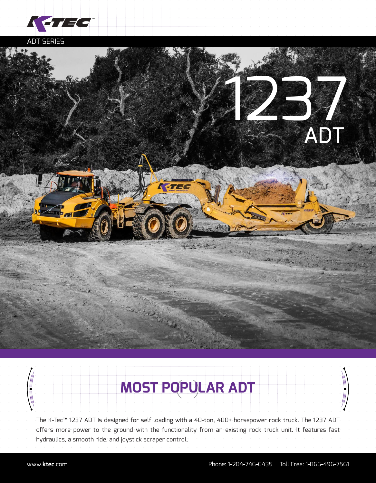

ADT SERIES



## **MOST POPULAR ADT**

The K-Tec™ 1237 ADT is designed for self loading with a 40-ton, 400+ horsepower rock truck. The 1237 ADT offers more power to the ground with the functionality from an existing rock truck unit. It features fast hydraulics, a smooth ride, and joystick scraper control.